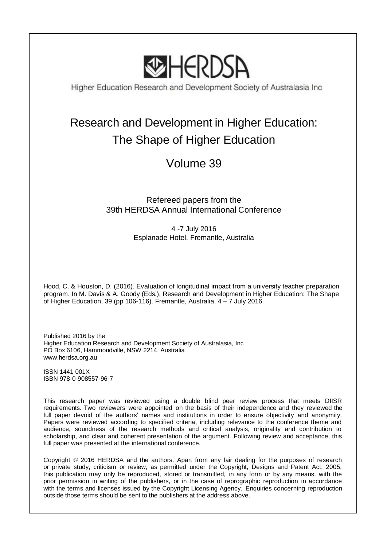

Higher Education Research and Development Society of Australasia Inc

# Research and Development in Higher Education: The Shape of Higher Education

## Volume 39

### Refereed papers from the 39th HERDSA Annual International Conference

4 -7 July 2016 Esplanade Hotel, Fremantle, Australia

Hood, C. & Houston, D. (2016). Evaluation of longitudinal impact from a university teacher preparation program. In M. Davis & A. Goody (Eds.), Research and Development in Higher Education: The Shape of Higher Education, 39 (pp 106-116). Fremantle, Australia, 4 – 7 July 2016.

Published 2016 by the Higher Education Research and Development Society of Australasia, Inc PO Box 6106, Hammondville, NSW 2214, Australia www.herdsa.org.au

ISSN 1441 001X ISBN 978-0-908557-96-7

This research paper was reviewed using a double blind peer review process that meets DIISR requirements. Two reviewers were appointed on the basis of their independence and they reviewed the full paper devoid of the authors' names and institutions in order to ensure objectivity and anonymity. Papers were reviewed according to specified criteria, including relevance to the conference theme and audience, soundness of the research methods and critical analysis, originality and contribution to scholarship, and clear and coherent presentation of the argument. Following review and acceptance, this full paper was presented at the international conference.

Copyright © 2016 HERDSA and the authors. Apart from any fair dealing for the purposes of research or private study, criticism or review, as permitted under the Copyright, Designs and Patent Act, 2005, this publication may only be reproduced, stored or transmitted, in any form or by any means, with the prior permission in writing of the publishers, or in the case of reprographic reproduction in accordance with the terms and licenses issued by the Copyright Licensing Agency. Enquiries concerning reproduction outside those terms should be sent to the publishers at the address above.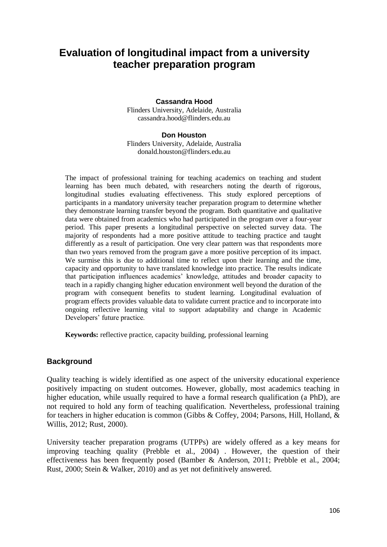### **Evaluation of longitudinal impact from a university teacher preparation program**

#### **Cassandra Hood**

Flinders University, Adelaide, Australia cassandra.hood@flinders.edu.au

#### **Don Houston**

Flinders University, Adelaide, Australia donald.houston@flinders.edu.au

The impact of professional training for teaching academics on teaching and student learning has been much debated, with researchers noting the dearth of rigorous, longitudinal studies evaluating effectiveness. This study explored perceptions of participants in a mandatory university teacher preparation program to determine whether they demonstrate learning transfer beyond the program. Both quantitative and qualitative data were obtained from academics who had participated in the program over a four-year period. This paper presents a longitudinal perspective on selected survey data. The majority of respondents had a more positive attitude to teaching practice and taught differently as a result of participation. One very clear pattern was that respondents more than two years removed from the program gave a more positive perception of its impact. We surmise this is due to additional time to reflect upon their learning and the time, capacity and opportunity to have translated knowledge into practice. The results indicate that participation influences academics' knowledge, attitudes and broader capacity to teach in a rapidly changing higher education environment well beyond the duration of the program with consequent benefits to student learning. Longitudinal evaluation of program effects provides valuable data to validate current practice and to incorporate into ongoing reflective learning vital to support adaptability and change in Academic Developers' future practice.

**Keywords:** reflective practice, capacity building, professional learning

#### **Background**

Quality teaching is widely identified as one aspect of the university educational experience positively impacting on student outcomes. However, globally, most academics teaching in higher education, while usually required to have a formal research qualification (a PhD), are not required to hold any form of teaching qualification. Nevertheless, professional training for teachers in higher education is common (Gibbs & Coffey, 2004; Parsons, Hill, Holland, & Willis, 2012; Rust, 2000).

University teacher preparation programs (UTPPs) are widely offered as a key means for improving teaching quality (Prebble et al., 2004) . However, the question of their effectiveness has been frequently posed (Bamber & Anderson, 2011; Prebble et al., 2004; Rust, 2000; Stein & Walker, 2010) and as yet not definitively answered.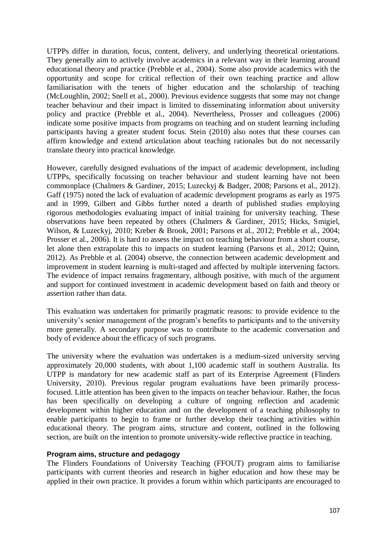UTPPs differ in duration, focus, content, delivery, and underlying theoretical orientations. They generally aim to actively involve academics in a relevant way in their learning around educational theory and practice (Prebble et al., 2004). Some also provide academics with the opportunity and scope for critical reflection of their own teaching practice and allow familiarisation with the tenets of higher education and the scholarship of teaching (McLoughlin, 2002; Snell et al., 2000). Previous evidence suggests that some may not change teacher behaviour and their impact is limited to disseminating information about university policy and practice (Prebble et al., 2004). Nevertheless, Prosser and colleagues (2006) indicate some positive impacts from programs on teaching and on student learning including participants having a greater student focus. Stein (2010) also notes that these courses can affirm knowledge and extend articulation about teaching rationales but do not necessarily translate theory into practical knowledge.

However, carefully designed evaluations of the impact of academic development, including UTPPs, specifically focussing on teacher behaviour and student learning have not been commonplace (Chalmers & Gardiner, 2015; Luzeckyj & Badger, 2008; Parsons et al., 2012). Gaff (1975) noted the lack of evaluation of academic development programs as early as 1975 and in 1999, Gilbert and Gibbs further noted a dearth of published studies employing rigorous methodologies evaluating impact of initial training for university teaching. These observations have been repeated by others (Chalmers & Gardiner, 2015; Hicks, Smigiel, Wilson, & Luzeckyj, 2010; Kreber & Brook, 2001; Parsons et al., 2012; Prebble et al., 2004; Prosser et al., 2006). It is hard to assess the impact on teaching behaviour from a short course, let alone then extrapolate this to impacts on student learning (Parsons et al., 2012; Quinn, 2012). As Prebble et al. (2004) observe, the connection between academic development and improvement in student learning is multi-staged and affected by multiple intervening factors. The evidence of impact remains fragmentary, although positive, with much of the argument and support for continued investment in academic development based on faith and theory or assertion rather than data.

This evaluation was undertaken for primarily pragmatic reasons: to provide evidence to the university's senior management of the program's benefits to participants and to the university more generally. A secondary purpose was to contribute to the academic conversation and body of evidence about the efficacy of such programs.

The university where the evaluation was undertaken is a medium-sized university serving approximately 20,000 students, with about 1,100 academic staff in southern Australia. Its UTPP is mandatory for new academic staff as part of its Enterprise Agreement (Flinders University, 2010). Previous regular program evaluations have been primarily processfocused. Little attention has been given to the impacts on teacher behaviour. Rather, the focus has been specifically on developing a culture of ongoing reflection and academic development within higher education and on the development of a teaching philosophy to enable participants to begin to frame or further develop their teaching activities within educational theory. The program aims, structure and content, outlined in the following section, are built on the intention to promote university-wide reflective practice in teaching.

#### **Program aims, structure and pedagogy**

The Flinders Foundations of University Teaching (FFOUT) program aims to familiarise participants with current theories and research in higher education and how these may be applied in their own practice. It provides a forum within which participants are encouraged to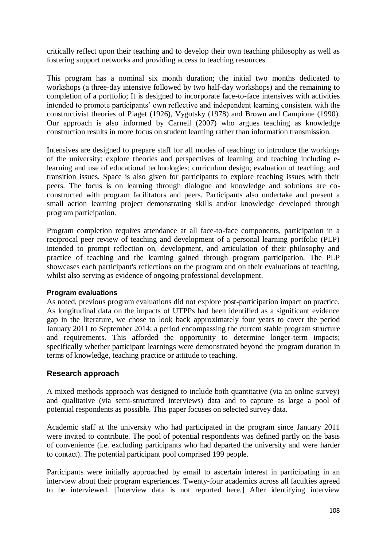critically reflect upon their teaching and to develop their own teaching philosophy as well as fostering support networks and providing access to teaching resources.

This program has a nominal six month duration; the initial two months dedicated to workshops (a three-day intensive followed by two half-day workshops) and the remaining to completion of a portfolio; It is designed to incorporate face-to-face intensives with activities intended to promote participants' own reflective and independent learning consistent with the constructivist theories of Piaget (1926), Vygotsky (1978) and Brown and Campione (1990). Our approach is also informed by Carnell (2007) who argues teaching as knowledge construction results in more focus on student learning rather than information transmission.

Intensives are designed to prepare staff for all modes of teaching; to introduce the workings of the university; explore theories and perspectives of learning and teaching including elearning and use of educational technologies; curriculum design; evaluation of teaching; and transition issues. Space is also given for participants to explore teaching issues with their peers. The focus is on learning through dialogue and knowledge and solutions are coconstructed with program facilitators and peers. Participants also undertake and present a small action learning project demonstrating skills and/or knowledge developed through program participation.

Program completion requires attendance at all face-to-face components, participation in a reciprocal peer review of teaching and development of a personal learning portfolio (PLP) intended to prompt reflection on, development, and articulation of their philosophy and practice of teaching and the learning gained through program participation. The PLP showcases each participant's reflections on the program and on their evaluations of teaching, whilst also serving as evidence of ongoing professional development.

#### **Program evaluations**

As noted, previous program evaluations did not explore post-participation impact on practice. As longitudinal data on the impacts of UTPPs had been identified as a significant evidence gap in the literature, we chose to look back approximately four years to cover the period January 2011 to September 2014; a period encompassing the current stable program structure and requirements. This afforded the opportunity to determine longer-term impacts; specifically whether participant learnings were demonstrated beyond the program duration in terms of knowledge, teaching practice or attitude to teaching.

#### **Research approach**

A mixed methods approach was designed to include both quantitative (via an online survey) and qualitative (via semi-structured interviews) data and to capture as large a pool of potential respondents as possible. This paper focuses on selected survey data.

Academic staff at the university who had participated in the program since January 2011 were invited to contribute. The pool of potential respondents was defined partly on the basis of convenience (i.e. excluding participants who had departed the university and were harder to contact). The potential participant pool comprised 199 people.

Participants were initially approached by email to ascertain interest in participating in an interview about their program experiences. Twenty-four academics across all faculties agreed to be interviewed. [Interview data is not reported here.] After identifying interview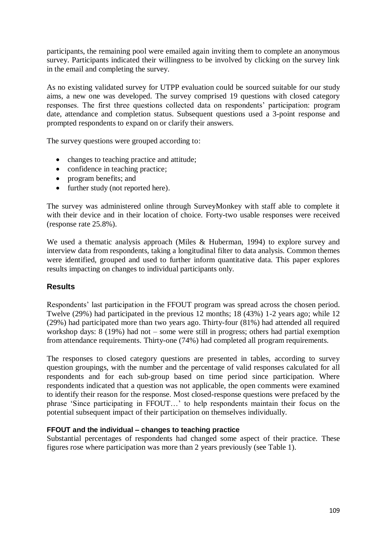participants, the remaining pool were emailed again inviting them to complete an anonymous survey. Participants indicated their willingness to be involved by clicking on the survey link in the email and completing the survey.

As no existing validated survey for UTPP evaluation could be sourced suitable for our study aims, a new one was developed. The survey comprised 19 questions with closed category responses. The first three questions collected data on respondents' participation: program date, attendance and completion status. Subsequent questions used a 3-point response and prompted respondents to expand on or clarify their answers.

The survey questions were grouped according to:

- changes to teaching practice and attitude;
- confidence in teaching practice;
- program benefits; and
- further study (not reported here).

The survey was administered online through SurveyMonkey with staff able to complete it with their device and in their location of choice. Forty-two usable responses were received (response rate 25.8%).

We used a thematic analysis approach (Miles & Huberman, 1994) to explore survey and interview data from respondents, taking a longitudinal filter to data analysis. Common themes were identified, grouped and used to further inform quantitative data. This paper explores results impacting on changes to individual participants only.

#### **Results**

Respondents' last participation in the FFOUT program was spread across the chosen period. Twelve (29%) had participated in the previous 12 months; 18 (43%) 1-2 years ago; while 12 (29%) had participated more than two years ago. Thirty-four (81%) had attended all required workshop days: 8 (19%) had not – some were still in progress; others had partial exemption from attendance requirements. Thirty-one (74%) had completed all program requirements.

The responses to closed category questions are presented in tables, according to survey question groupings, with the number and the percentage of valid responses calculated for all respondents and for each sub-group based on time period since participation. Where respondents indicated that a question was not applicable, the open comments were examined to identify their reason for the response. Most closed-response questions were prefaced by the phrase 'Since participating in FFOUT…' to help respondents maintain their focus on the potential subsequent impact of their participation on themselves individually.

#### **FFOUT and the individual – changes to teaching practice**

Substantial percentages of respondents had changed some aspect of their practice. These figures rose where participation was more than 2 years previously (see Table 1).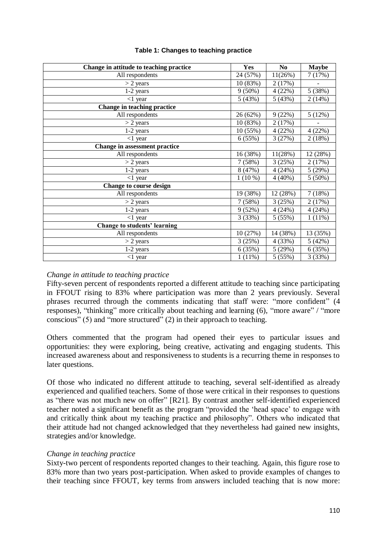| Change in attitude to teaching practice | <b>Yes</b> | No.       | <b>Maybe</b>   |
|-----------------------------------------|------------|-----------|----------------|
| All respondents                         | 24 (57%)   | 11(26%)   | 7(17%)         |
| $>$ 2 years                             | 10 (83%)   | 2(17%)    | $\blacksquare$ |
| 1-2 years                               | $9(50\%)$  | 4(22%)    | 5 (38%)        |
| $<$ 1 year                              | 5(43%)     | 5(43%)    | 2(14%)         |
| Change in teaching practice             |            |           |                |
| All respondents                         | 26 (62%)   | 9(22%)    | 5(12%)         |
| $>$ 2 years                             | 10 (83%)   | 2(17%)    |                |
| 1-2 years                               | 10(55%)    | 4(22%)    | 4(22%)         |
| $<$ 1 year                              | 6(55%)     | 3(27%)    | 2(18%)         |
| Change in assessment practice           |            |           |                |
| All respondents                         | 16 (38%)   | 11(28%)   | 12 (28%)       |
| $>$ 2 years                             | 7(58%)     | $3(25\%)$ | 2(17%)         |
| 1-2 years                               | 8 (47%)    | 4(24%)    | 5(29%)         |
| $<$ 1 year                              | $1(10\%)$  | $4(40\%)$ | 5(50%)         |
| <b>Change to course design</b>          |            |           |                |
| All respondents                         | 19 (38%)   | 12 (28%)  | 7(18%)         |
| $>$ 2 years                             | 7(58%)     | 3(25%)    | 2(17%)         |
| 1-2 years                               | 9(52%)     | 4(24%)    | 4(24%)         |
| $<$ 1 year                              | 3(33%)     | 5(55%)    | 1(11%)         |
| Change to students' learning            |            |           |                |
| All respondents                         | 10 (27%)   | 14 (38%)  | 13 (35%)       |
| $>$ 2 years                             | 3(25%)     | 4 (33%)   | 5(42%)         |
| 1-2 years                               | 6(35%)     | 5(29%)    | 6(35%)         |
| $<$ 1 year                              | 1(11%)     | 5(55%)    | 3(33%)         |

#### **Table 1: Changes to teaching practice**

#### *Change in attitude to teaching practice*

Fifty-seven percent of respondents reported a different attitude to teaching since participating in FFOUT rising to 83% where participation was more than 2 years previously. Several phrases recurred through the comments indicating that staff were: "more confident" (4 responses), "thinking" more critically about teaching and learning (6), "more aware" / "more conscious" (5) and "more structured" (2) in their approach to teaching.

Others commented that the program had opened their eyes to particular issues and opportunities: they were exploring, being creative, activating and engaging students. This increased awareness about and responsiveness to students is a recurring theme in responses to later questions.

Of those who indicated no different attitude to teaching, several self-identified as already experienced and qualified teachers. Some of those were critical in their responses to questions as "there was not much new on offer" [R21]. By contrast another self-identified experienced teacher noted a significant benefit as the program "provided the 'head space' to engage with and critically think about my teaching practice and philosophy". Others who indicated that their attitude had not changed acknowledged that they nevertheless had gained new insights, strategies and/or knowledge.

#### *Change in teaching practice*

Sixty-two percent of respondents reported changes to their teaching. Again, this figure rose to 83% more than two years post-participation. When asked to provide examples of changes to their teaching since FFOUT, key terms from answers included teaching that is now more: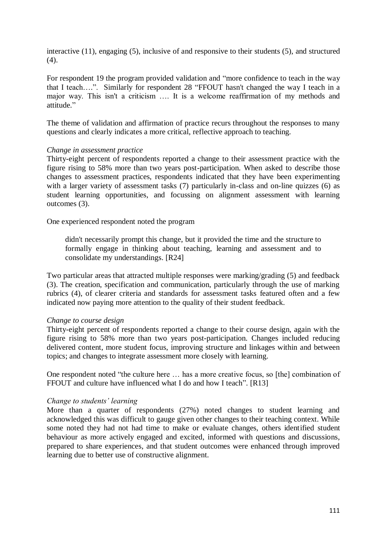interactive (11), engaging (5), inclusive of and responsive to their students (5), and structured (4).

For respondent 19 the program provided validation and "more confidence to teach in the way that I teach….". Similarly for respondent 28 "FFOUT hasn't changed the way I teach in a major way. This isn't a criticism …. It is a welcome reaffirmation of my methods and attitude."

The theme of validation and affirmation of practice recurs throughout the responses to many questions and clearly indicates a more critical, reflective approach to teaching.

#### *Change in assessment practice*

Thirty-eight percent of respondents reported a change to their assessment practice with the figure rising to 58% more than two years post-participation. When asked to describe those changes to assessment practices, respondents indicated that they have been experimenting with a larger variety of assessment tasks (7) particularly in-class and on-line quizzes (6) as student learning opportunities, and focussing on alignment assessment with learning outcomes (3).

One experienced respondent noted the program

didn't necessarily prompt this change, but it provided the time and the structure to formally engage in thinking about teaching, learning and assessment and to consolidate my understandings. [R24]

Two particular areas that attracted multiple responses were marking/grading (5) and feedback (3). The creation, specification and communication, particularly through the use of marking rubrics (4), of clearer criteria and standards for assessment tasks featured often and a few indicated now paying more attention to the quality of their student feedback.

#### *Change to course design*

Thirty-eight percent of respondents reported a change to their course design, again with the figure rising to 58% more than two years post-participation. Changes included reducing delivered content, more student focus, improving structure and linkages within and between topics; and changes to integrate assessment more closely with learning.

One respondent noted "the culture here … has a more creative focus, so [the] combination of FFOUT and culture have influenced what I do and how I teach". [R13]

#### *Change to students' learning*

More than a quarter of respondents (27%) noted changes to student learning and acknowledged this was difficult to gauge given other changes to their teaching context. While some noted they had not had time to make or evaluate changes, others identified student behaviour as more actively engaged and excited, informed with questions and discussions, prepared to share experiences, and that student outcomes were enhanced through improved learning due to better use of constructive alignment.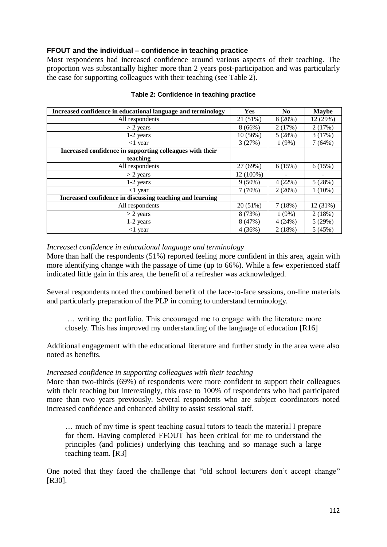#### **FFOUT and the individual – confidence in teaching practice**

Most respondents had increased confidence around various aspects of their teaching. The proportion was substantially higher more than 2 years post-participation and was particularly the case for supporting colleagues with their teaching (see Table 2).

| Increased confidence in educational language and terminology | Yes       | N <sub>0</sub> | <b>Maybe</b> |
|--------------------------------------------------------------|-----------|----------------|--------------|
| All respondents                                              | 21 (51%)  | 8(20%)         | 12 (29%)     |
| $> 2$ years                                                  | 8(66%)    | 2(17%)         | 2(17%)       |
| 1-2 years                                                    | 10(56%)   | 5(28%)         | 3(17%)       |
| $<$ 1 year                                                   | 3(27%)    | 1(9%)          | 7 (64%)      |
| Increased confidence in supporting colleagues with their     |           |                |              |
| teaching                                                     |           |                |              |
| All respondents                                              | 27 (69%)  | 6(15%)         | 6(15%)       |
| $>$ 2 years                                                  | 12 (100%) |                |              |
| 1-2 years                                                    | $9(50\%)$ | 4(22%)         | 5(28%)       |
| $<$ 1 year                                                   | 7(70%)    | 2(20%)         | $1(10\%)$    |
| Increased confidence in discussing teaching and learning     |           |                |              |
| All respondents                                              | 20 (51%)  | 7(18%)         | 12 (31%)     |
| $> 2$ years                                                  | 8 (73%)   | $1(9\%)$       | 2(18%)       |
| $1-2$ years                                                  | 8(47%)    | 4(24%)         | 5(29%)       |
| $<$ 1 year                                                   | 4(36%)    | 2(18%)         | 5(45%)       |

#### **Table 2: Confidence in teaching practice**

#### *Increased confidence in educational language and terminology*

More than half the respondents (51%) reported feeling more confident in this area, again with more identifying change with the passage of time (up to 66%). While a few experienced staff indicated little gain in this area, the benefit of a refresher was acknowledged.

Several respondents noted the combined benefit of the face-to-face sessions, on-line materials and particularly preparation of the PLP in coming to understand terminology.

… writing the portfolio. This encouraged me to engage with the literature more closely. This has improved my understanding of the language of education [R16]

Additional engagement with the educational literature and further study in the area were also noted as benefits.

#### *Increased confidence in supporting colleagues with their teaching*

More than two-thirds (69%) of respondents were more confident to support their colleagues with their teaching but interestingly, this rose to 100% of respondents who had participated more than two years previously. Several respondents who are subject coordinators noted increased confidence and enhanced ability to assist sessional staff.

… much of my time is spent teaching casual tutors to teach the material I prepare for them. Having completed FFOUT has been critical for me to understand the principles (and policies) underlying this teaching and so manage such a large teaching team. [R3]

One noted that they faced the challenge that "old school lecturers don't accept change" [R30].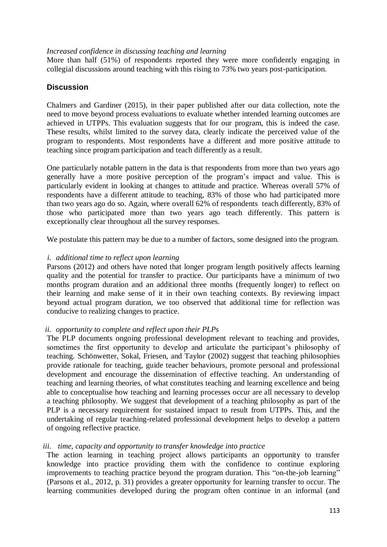#### *Increased confidence in discussing teaching and learning*

More than half (51%) of respondents reported they were more confidently engaging in collegial discussions around teaching with this rising to 73% two years post-participation.

#### **Discussion**

Chalmers and Gardiner (2015), in their paper published after our data collection, note the need to move beyond process evaluations to evaluate whether intended learning outcomes are achieved in UTPPs. This evaluation suggests that for our program, this is indeed the case. These results, whilst limited to the survey data, clearly indicate the perceived value of the program to respondents. Most respondents have a different and more positive attitude to teaching since program participation and teach differently as a result.

One particularly notable pattern in the data is that respondents from more than two years ago generally have a more positive perception of the program's impact and value. This is particularly evident in looking at changes to attitude and practice. Whereas overall 57% of respondents have a different attitude to teaching, 83% of those who had participated more than two years ago do so. Again, where overall 62% of respondents teach differently, 83% of those who participated more than two years ago teach differently. This pattern is exceptionally clear throughout all the survey responses.

We postulate this pattern may be due to a number of factors, some designed into the program.

#### *i. additional time to reflect upon learning*

Parsons (2012) and others have noted that longer program length positively affects learning quality and the potential for transfer to practice. Our participants have a minimum of two months program duration and an additional three months (frequently longer) to reflect on their learning and make sense of it in their own teaching contexts. By reviewing impact beyond actual program duration, we too observed that additional time for reflection was conducive to realizing changes to practice.

#### *ii. opportunity to complete and reflect upon their PLPs*

The PLP documents ongoing professional development relevant to teaching and provides, sometimes the first opportunity to develop and articulate the participant's philosophy of teaching. Schönwetter, Sokal, Friesen, and Taylor (2002) suggest that teaching philosophies provide rationale for teaching, guide teacher behaviours, promote personal and professional development and encourage the dissemination of effective teaching. An understanding of teaching and learning theories, of what constitutes teaching and learning excellence and being able to conceptualise how teaching and learning processes occur are all necessary to develop a teaching philosophy. We suggest that development of a teaching philosophy as part of the PLP is a necessary requirement for sustained impact to result from UTPPs. This, and the undertaking of regular teaching-related professional development helps to develop a pattern of ongoing reflective practice.

#### *iii. time, capacity and opportunity to transfer knowledge into practice*

The action learning in teaching project allows participants an opportunity to transfer knowledge into practice providing them with the confidence to continue exploring improvements to teaching practice beyond the program duration. This "on-the-job learning" (Parsons et al., 2012, p. 31) provides a greater opportunity for learning transfer to occur. The learning communities developed during the program often continue in an informal (and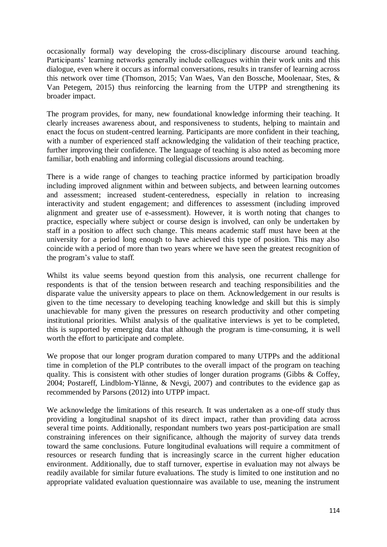occasionally formal) way developing the cross-disciplinary discourse around teaching. Participants' learning networks generally include colleagues within their work units and this dialogue, even where it occurs as informal conversations, results in transfer of learning across this network over time (Thomson, 2015; Van Waes, Van den Bossche, Moolenaar, Stes, & Van Petegem, 2015) thus reinforcing the learning from the UTPP and strengthening its broader impact.

The program provides, for many, new foundational knowledge informing their teaching. It clearly increases awareness about, and responsiveness to students, helping to maintain and enact the focus on student-centred learning. Participants are more confident in their teaching, with a number of experienced staff acknowledging the validation of their teaching practice, further improving their confidence. The language of teaching is also noted as becoming more familiar, both enabling and informing collegial discussions around teaching.

There is a wide range of changes to teaching practice informed by participation broadly including improved alignment within and between subjects, and between learning outcomes and assessment; increased student-centeredness, especially in relation to increasing interactivity and student engagement; and differences to assessment (including improved alignment and greater use of e-assessment). However, it is worth noting that changes to practice, especially where subject or course design is involved, can only be undertaken by staff in a position to affect such change. This means academic staff must have been at the university for a period long enough to have achieved this type of position. This may also coincide with a period of more than two years where we have seen the greatest recognition of the program's value to staff.

Whilst its value seems beyond question from this analysis, one recurrent challenge for respondents is that of the tension between research and teaching responsibilities and the disparate value the university appears to place on them. Acknowledgement in our results is given to the time necessary to developing teaching knowledge and skill but this is simply unachievable for many given the pressures on research productivity and other competing institutional priorities. Whilst analysis of the qualitative interviews is yet to be completed, this is supported by emerging data that although the program is time-consuming, it is well worth the effort to participate and complete.

We propose that our longer program duration compared to many UTPPs and the additional time in completion of the PLP contributes to the overall impact of the program on teaching quality. This is consistent with other studies of longer duration programs (Gibbs & Coffey, 2004; Postareff, Lindblom-Ylänne, & Nevgi, 2007) and contributes to the evidence gap as recommended by Parsons (2012) into UTPP impact.

We acknowledge the limitations of this research. It was undertaken as a one-off study thus providing a longitudinal snapshot of its direct impact, rather than providing data across several time points. Additionally, respondant numbers two years post-participation are small constraining inferences on their significance, although the majority of survey data trends toward the same conclusions. Future longitudinal evaluations will require a commitment of resources or research funding that is increasingly scarce in the current higher education environment. Additionally, due to staff turnover, expertise in evaluation may not always be readily available for similar future evaluations. The study is limited to one institution and no appropriate validated evaluation questionnaire was available to use, meaning the instrument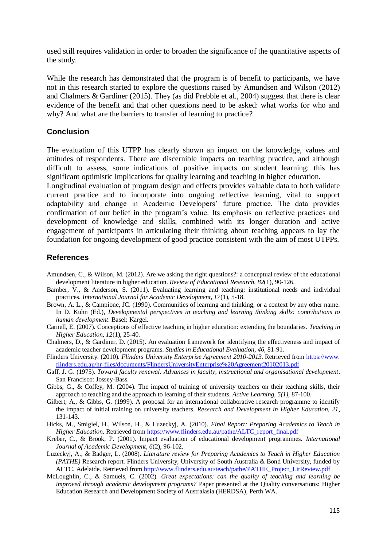used still requires validation in order to broaden the significance of the quantitative aspects of the study.

While the research has demonstrated that the program is of benefit to participants, we have not in this research started to explore the questions raised by Amundsen and Wilson (2012) and Chalmers & Gardiner (2015). They (as did Prebble et al., 2004) suggest that there is clear evidence of the benefit and that other questions need to be asked: what works for who and why? And what are the barriers to transfer of learning to practice?

#### **Conclusion**

The evaluation of this UTPP has clearly shown an impact on the knowledge, values and attitudes of respondents. There are discernible impacts on teaching practice, and although difficult to assess, some indications of positive impacts on student learning: this has significant optimistic implications for quality learning and teaching in higher education.

Longitudinal evaluation of program design and effects provides valuable data to both validate current practice and to incorporate into ongoing reflective learning, vital to support adaptability and change in Academic Developers' future practice. The data provides confirmation of our belief in the program's value. Its emphasis on reflective practices and development of knowledge and skills, combined with its longer duration and active engagement of participants in articulating their thinking about teaching appears to lay the foundation for ongoing development of good practice consistent with the aim of most UTPPs.

#### **References**

- Amundsen, C., & Wilson, M. (2012). Are we asking the right questions?: a conceptual review of the educational development literature in higher education. *Review of Educational Research*, *82*(1), 90-126.
- Bamber, V., & Anderson, S. (2011). Evaluating learning and teaching: institutional needs and individual practices. *International Journal for Academic Development, 17*(1), 5-18.
- Brown, A. L., & Campione, JC. (1990). Communities of learning and thinking, or a context by any other name. In D. Kuhn (Ed.), *Developmental perspectives in teaching and learning thinking skills: contributions to human development*. Basel: Kargel.
- Carnell, E. (2007). Conceptions of effective teaching in higher education: extending the boundaries. *Teaching in Higher Education, 12*(1), 25-40.
- Chalmers, D., & Gardiner, D. (2015). An evaluation framework for identifying the effectiveness and impact of academic teacher development programs. *Studies in Educational Evaluation, 46*, 81-91.
- Flinders University. (2010). *Flinders University Enterprise Agreement 2010-2013*. Retrieved from https://www. flinders.edu.au/hr-files/documents/FlindersUniversityEnterprise%20Agreement20102013.pdf
- Gaff, J. G. (1975). *Toward faculty renewal: Advances in faculty, instructional and organisational development*. San Francisco: Jossey-Bass.
- Gibbs, G., & Coffey, M. (2004). The impact of training of university teachers on their teaching skills, their approach to teaching and the approach to learning of their students. *Active Learning, 5(1),* 87-100.
- Gilbert, A., & Gibbs, G. (1999). A proposal for an international collaborative research programme to identify the impact of initial training on university teachers. *Research and Development in Higher Education, 21*, 131-143.
- Hicks, M., Smigiel, H., Wilson, H., & Luzeckyj, A. (2010). *Final Report: Preparing Academics to Teach in Higher Education*. Retrieved from [https://www.flinders.edu.au/pathe/ALTC\\_report\\_final.pdf](https://www.flinders.edu.au/pathe/ALTC_report_final.pdf)
- Kreber, C., & Brook, P. (2001). Impact evaluation of educational development programmes. *International Journal of Academic Development, 6*(2), 96-102.
- Luzeckyj, A., & Badger, L. (2008). *Literature review for Preparing Academics to Teach in Higher Education (PATHE)* Research report. Flinders University, University of South Australia & Bond University, funded by ALTC. Adelaide. Retrieved from [http://www.flinders.edu.au/teach/pathe/PATHE\\_Project\\_LitReview.pdf](http://www.flinders.edu.au/teach/pathe/PATHE_Project_LitReview.pdf)
- McLoughlin, C., & Samuels, C. (2002). *Great expectations: can the quality of teaching and learning be improved through academic development programs?* Paper presented at the Quality conversations: Higher Education Research and Development Society of Australasia (HERDSA), Perth WA.